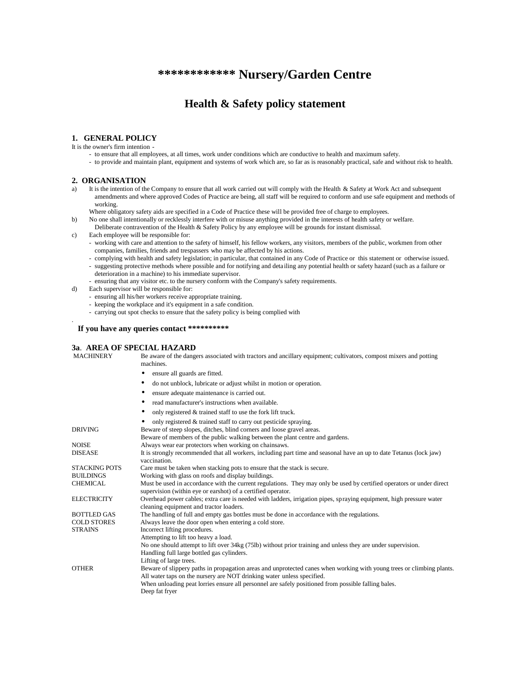# **\*\*\*\*\*\*\*\*\*\*\*\* Nursery/Garden Centre**

# **Health & Safety policy statement**

### **1. GENERAL POLICY**

It is the owner's firm intention

- to ensure that all employees, at all times, work under conditions which are conductive to health and maximum safety.
- to provide and maintain plant, equipment and systems of work which are, so far as is reasonably practical, safe and without risk to health.

### **2. ORGANISATION**

.

- a) It is the intention of the Company to ensure that all work carried out will comply with the Health & Safety at Work Act and subsequent amendments and where approved Codes of Practice are being, all staff will be required to conform and use safe equipment and methods of working.
	- Where obligatory safety aids are specified in a Code of Practice these will be provided free of charge to employees.
- b) No one shall intentionally or recklessly interfere with or misuse anything provided in the interests of health safety or welfare.
	- Deliberate contravention of the Health & Safety Policy by any employee will be grounds for instant dismissal.
- c) Each employee will be responsible for:
	- working with care and attention to the safety of himself, his fellow workers, any visitors, members of the public, workmen from other companies, families, friends and trespassers who may be affected by his actions.
	- complying with health and safety legislation; in particular, that contained in any Code of Practice or this statement or otherwise issued.
	- suggesting protective methods where possible and for notifying and deta iling any potential health or safety hazard (such as a failure or deterioration in a machine) to his immediate supervisor.
	- ensuring that any visitor etc. to the nursery conform with the Company's safety requirements.
- d) Each supervisor will be responsible for:
	- ensuring all his/her workers receive appropriate training.
	- keeping the workplace and it's equipment in a safe condition.
	- carrying out spot checks to ensure that the safety policy is being complied with

### **If you have any queries contact \*\*\*\*\*\*\*\*\*\***

Deep fat fryer

# **3a. AREA OF SPECIAL HAZARD**<br>MACHINERY Be aware of the dang

Be aware of the dangers associated with tractors and ancillary equipment; cultivators, compost mixers and potting machines. • ensure all guards are fitted. • do not unblock, lubricate or adjust whilst in motion or operation. ensure adequate maintenance is carried out. • read manufacturer's instructions when available. • only registered & trained staff to use the fork lift truck. • only registered & trained staff to carry out pesticide spraying. DRIVING Beware of steep slopes, ditches, blind corners and loose gravel areas. Beware of members of the public walking between the plant centre and gardens. NOISE Always wear ear protectors when working on chainsaws.<br>DISEASE It is strongly recommended that all workers including pa It is strongly recommended that all workers, including part time and seasonal have an up to date Tetanus (lock jaw) vaccination. STACKING POTS Care must be taken when stacking pots to ensure that the stack is secure.<br>BUILDINGS Working with glass on roofs and display buildings. Working with glass on roofs and display buildings. CHEMICAL Must be used in accordance with the current regulations. They may only be used by certified operators or under direct supervision (within eye or earshot) of a certified operator. ELECTRICITY Overhead power cables; extra care is needed with ladders, irrigation pipes, spraying equipment, high pressure water cleaning equipment and tractor loaders. BOTTLED GAS The handling of full and empty gas bottles must be done in accordance with the regulations.<br>COLD STORES Always leave the door open when entering a cold store. COLD STORES Always leave the door open when entering a cold store.<br>
STRAINS Incorrect lifting procedures. Incorrect lifting procedures. Attempting to lift too heavy a load. No one should attempt to lift over 34kg (75lb) without prior training and unless they are under supervision. Handling full large bottled gas cylinders. Lifting of large trees. OTHER Beware of slippery paths in propagation areas and unprotected canes when working with young trees or climbing plants. All water taps on the nursery are NOT drinking water unless specified. When unloading peat lorries ensure all personnel are safely positioned from possible falling bales.